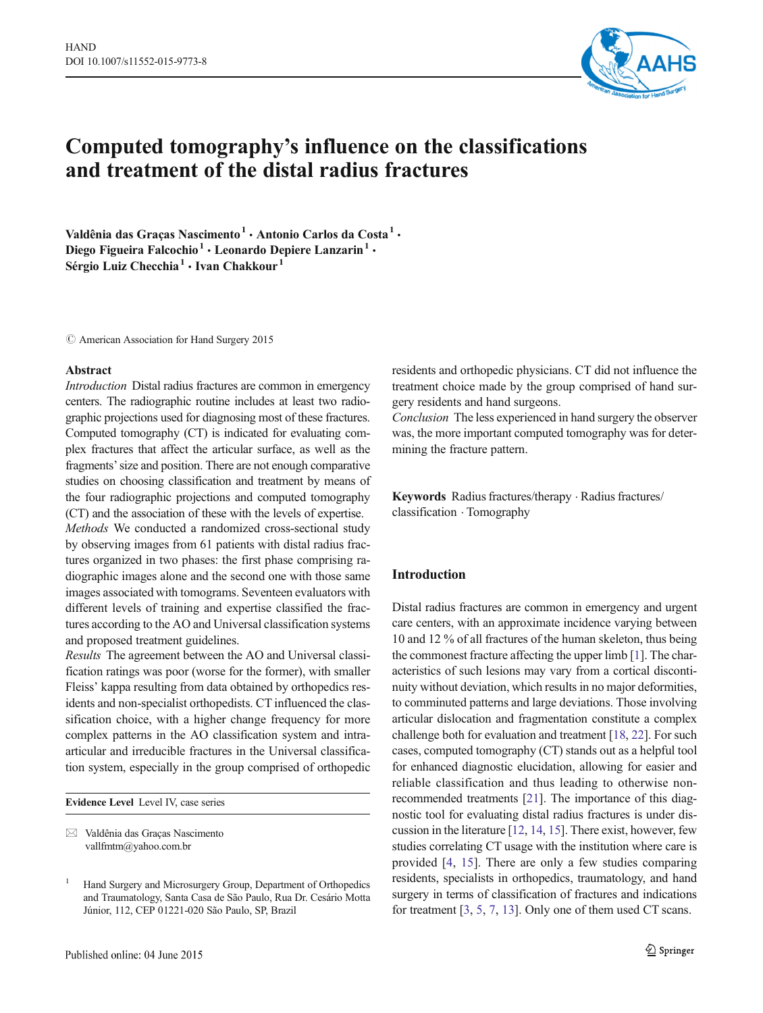

# Computed tomography's influence on the classifications and treatment of the distal radius fractures

Valdênia das Gracas Nascimento<sup>1</sup> • Antonio Carlos da Costa<sup>1</sup> • Diego Figueira Falcochio<sup>1</sup> · Leonardo Depiere Lanzarin<sup>1</sup> · Sérgio Luiz Checchia<sup>1</sup> · Ivan Chakkour<sup>1</sup>

 $\oslash$  American Association for Hand Surgery 2015

## Abstract

Introduction Distal radius fractures are common in emergency centers. The radiographic routine includes at least two radiographic projections used for diagnosing most of these fractures. Computed tomography (CT) is indicated for evaluating complex fractures that affect the articular surface, as well as the fragments'size and position. There are not enough comparative studies on choosing classification and treatment by means of the four radiographic projections and computed tomography (CT) and the association of these with the levels of expertise. Methods We conducted a randomized cross-sectional study by observing images from 61 patients with distal radius frac-

tures organized in two phases: the first phase comprising radiographic images alone and the second one with those same images associated with tomograms. Seventeen evaluators with different levels of training and expertise classified the fractures according to the AO and Universal classification systems and proposed treatment guidelines.

Results The agreement between the AO and Universal classification ratings was poor (worse for the former), with smaller Fleiss' kappa resulting from data obtained by orthopedics residents and non-specialist orthopedists. CT influenced the classification choice, with a higher change frequency for more complex patterns in the AO classification system and intraarticular and irreducible fractures in the Universal classification system, especially in the group comprised of orthopedic

Evidence Level Level IV, case series

 $\boxtimes$  Valdênia das Graças Nascimento vallfmtm@yahoo.com.br

residents and orthopedic physicians. CT did not influence the treatment choice made by the group comprised of hand surgery residents and hand surgeons.

Conclusion The less experienced in hand surgery the observer was, the more important computed tomography was for determining the fracture pattern.

Keywords Radius fractures/therapy . Radius fractures/ classification . Tomography

## Introduction

Distal radius fractures are common in emergency and urgent care centers, with an approximate incidence varying between 10 and 12 % of all fractures of the human skeleton, thus being the commonest fracture affecting the upper limb [\[1\]](#page-5-0). The characteristics of such lesions may vary from a cortical discontinuity without deviation, which results in no major deformities, to comminuted patterns and large deviations. Those involving articular dislocation and fragmentation constitute a complex challenge both for evaluation and treatment [[18](#page-6-0), [22\]](#page-6-0). For such cases, computed tomography (CT) stands out as a helpful tool for enhanced diagnostic elucidation, allowing for easier and reliable classification and thus leading to otherwise nonrecommended treatments [\[21](#page-6-0)]. The importance of this diagnostic tool for evaluating distal radius fractures is under discussion in the literature [[12,](#page-6-0) [14,](#page-6-0) [15\]](#page-6-0). There exist, however, few studies correlating CT usage with the institution where care is provided [[4,](#page-5-0) [15\]](#page-6-0). There are only a few studies comparing residents, specialists in orthopedics, traumatology, and hand surgery in terms of classification of fractures and indications for treatment [\[3,](#page-5-0) [5,](#page-5-0) [7,](#page-5-0) [13\]](#page-6-0). Only one of them used CT scans.

<sup>&</sup>lt;sup>1</sup> Hand Surgery and Microsurgery Group, Department of Orthopedics and Traumatology, Santa Casa de São Paulo, Rua Dr. Cesário Motta Júnior, 112, CEP 01221-020 São Paulo, SP, Brazil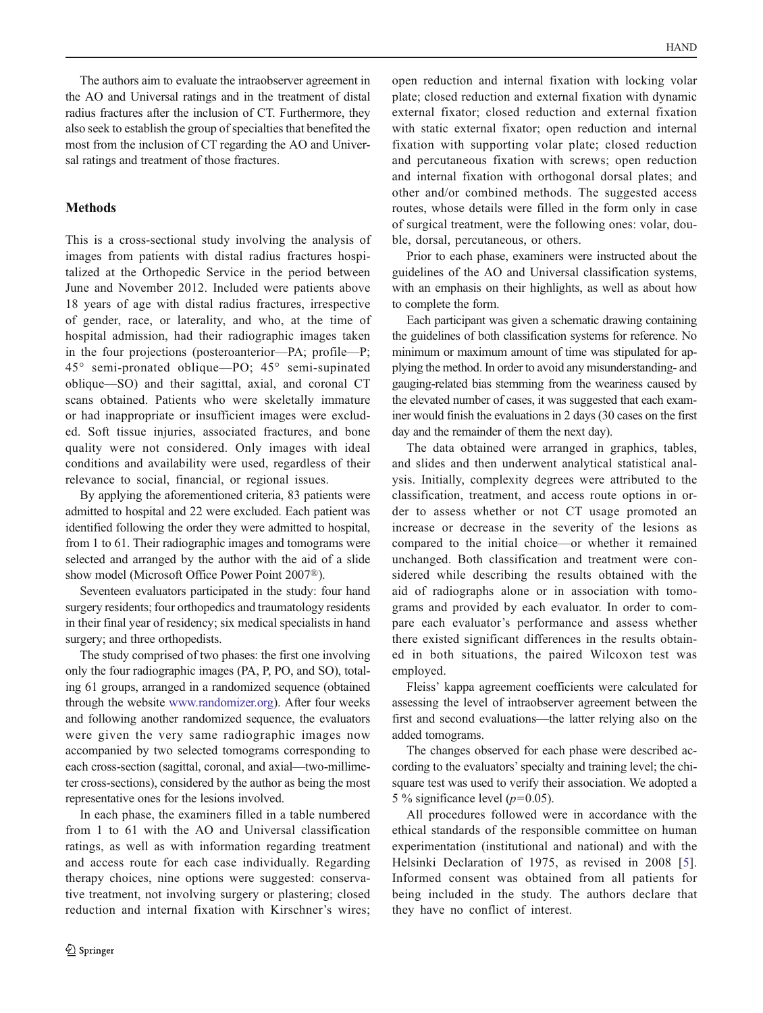The authors aim to evaluate the intraobserver agreement in the AO and Universal ratings and in the treatment of distal radius fractures after the inclusion of CT. Furthermore, they also seek to establish the group of specialties that benefited the most from the inclusion of CT regarding the AO and Universal ratings and treatment of those fractures.

## **Methods**

This is a cross-sectional study involving the analysis of images from patients with distal radius fractures hospitalized at the Orthopedic Service in the period between June and November 2012. Included were patients above 18 years of age with distal radius fractures, irrespective of gender, race, or laterality, and who, at the time of hospital admission, had their radiographic images taken in the four projections (posteroanterior—PA; profile—P; 45° semi-pronated oblique—PO; 45° semi-supinated oblique—SO) and their sagittal, axial, and coronal CT scans obtained. Patients who were skeletally immature or had inappropriate or insufficient images were excluded. Soft tissue injuries, associated fractures, and bone quality were not considered. Only images with ideal conditions and availability were used, regardless of their relevance to social, financial, or regional issues.

By applying the aforementioned criteria, 83 patients were admitted to hospital and 22 were excluded. Each patient was identified following the order they were admitted to hospital, from 1 to 61. Their radiographic images and tomograms were selected and arranged by the author with the aid of a slide show model (Microsoft Office Power Point 2007®).

Seventeen evaluators participated in the study: four hand surgery residents; four orthopedics and traumatology residents in their final year of residency; six medical specialists in hand surgery; and three orthopedists.

The study comprised of two phases: the first one involving only the four radiographic images (PA, P, PO, and SO), totaling 61 groups, arranged in a randomized sequence (obtained through the website [www.randomizer.org\)](http://www.randomizer.org/). After four weeks and following another randomized sequence, the evaluators were given the very same radiographic images now accompanied by two selected tomograms corresponding to each cross-section (sagittal, coronal, and axial—two-millimeter cross-sections), considered by the author as being the most representative ones for the lesions involved.

In each phase, the examiners filled in a table numbered from 1 to 61 with the AO and Universal classification ratings, as well as with information regarding treatment and access route for each case individually. Regarding therapy choices, nine options were suggested: conservative treatment, not involving surgery or plastering; closed reduction and internal fixation with Kirschner's wires; open reduction and internal fixation with locking volar plate; closed reduction and external fixation with dynamic external fixator; closed reduction and external fixation with static external fixator; open reduction and internal fixation with supporting volar plate; closed reduction and percutaneous fixation with screws; open reduction and internal fixation with orthogonal dorsal plates; and other and/or combined methods. The suggested access routes, whose details were filled in the form only in case of surgical treatment, were the following ones: volar, double, dorsal, percutaneous, or others.

Prior to each phase, examiners were instructed about the guidelines of the AO and Universal classification systems, with an emphasis on their highlights, as well as about how to complete the form.

Each participant was given a schematic drawing containing the guidelines of both classification systems for reference. No minimum or maximum amount of time was stipulated for applying the method. In order to avoid any misunderstanding- and gauging-related bias stemming from the weariness caused by the elevated number of cases, it was suggested that each examiner would finish the evaluations in 2 days (30 cases on the first day and the remainder of them the next day).

The data obtained were arranged in graphics, tables, and slides and then underwent analytical statistical analysis. Initially, complexity degrees were attributed to the classification, treatment, and access route options in order to assess whether or not CT usage promoted an increase or decrease in the severity of the lesions as compared to the initial choice—or whether it remained unchanged. Both classification and treatment were considered while describing the results obtained with the aid of radiographs alone or in association with tomograms and provided by each evaluator. In order to compare each evaluator's performance and assess whether there existed significant differences in the results obtained in both situations, the paired Wilcoxon test was employed.

Fleiss' kappa agreement coefficients were calculated for assessing the level of intraobserver agreement between the first and second evaluations—the latter relying also on the added tomograms.

The changes observed for each phase were described according to the evaluators'specialty and training level; the chisquare test was used to verify their association. We adopted a 5 % significance level ( $p=0.05$ ).

All procedures followed were in accordance with the ethical standards of the responsible committee on human experimentation (institutional and national) and with the Helsinki Declaration of 1975, as revised in 2008 [\[5](#page-5-0)]. Informed consent was obtained from all patients for being included in the study. The authors declare that they have no conflict of interest.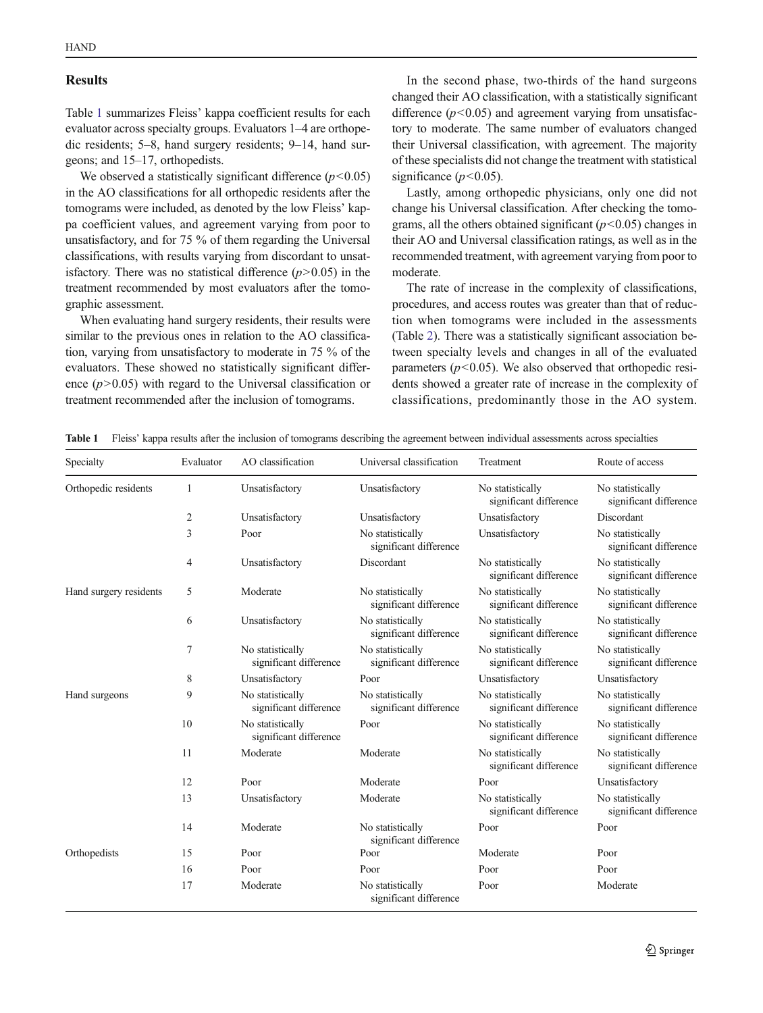## <span id="page-2-0"></span>Results

Table 1 summarizes Fleiss' kappa coefficient results for each evaluator across specialty groups. Evaluators 1–4 are orthopedic residents; 5–8, hand surgery residents; 9–14, hand surgeons; and 15–17, orthopedists.

We observed a statistically significant difference  $(p<0.05)$ in the AO classifications for all orthopedic residents after the tomograms were included, as denoted by the low Fleiss' kappa coefficient values, and agreement varying from poor to unsatisfactory, and for 75 % of them regarding the Universal classifications, with results varying from discordant to unsatisfactory. There was no statistical difference  $(p>0.05)$  in the treatment recommended by most evaluators after the tomographic assessment.

When evaluating hand surgery residents, their results were similar to the previous ones in relation to the AO classification, varying from unsatisfactory to moderate in 75 % of the evaluators. These showed no statistically significant difference  $(p>0.05)$  with regard to the Universal classification or treatment recommended after the inclusion of tomograms.

In the second phase, two-thirds of the hand surgeons changed their AO classification, with a statistically significant difference  $(p<0.05)$  and agreement varying from unsatisfactory to moderate. The same number of evaluators changed their Universal classification, with agreement. The majority of these specialists did not change the treatment with statistical significance ( $p$ <0.05).

Lastly, among orthopedic physicians, only one did not change his Universal classification. After checking the tomograms, all the others obtained significant  $(p<0.05)$  changes in their AO and Universal classification ratings, as well as in the recommended treatment, with agreement varying from poor to moderate.

The rate of increase in the complexity of classifications, procedures, and access routes was greater than that of reduction when tomograms were included in the assessments (Table [2](#page-3-0)). There was a statistically significant association between specialty levels and changes in all of the evaluated parameters  $(p<0.05)$ . We also observed that orthopedic residents showed a greater rate of increase in the complexity of classifications, predominantly those in the AO system.

| Specialty              | Evaluator      | AO classification                          | Universal classification                   | Treatment                                  | Route of access                            |  |
|------------------------|----------------|--------------------------------------------|--------------------------------------------|--------------------------------------------|--------------------------------------------|--|
| Orthopedic residents   | 1              | Unsatisfactory                             | Unsatisfactory                             | No statistically<br>significant difference | No statistically<br>significant difference |  |
|                        | $\overline{c}$ | Unsatisfactory                             | Unsatisfactory                             | Unsatisfactory                             | Discordant                                 |  |
|                        | 3              | Poor                                       | No statistically<br>significant difference | Unsatisfactory                             | No statistically<br>significant difference |  |
|                        | 4              | Unsatisfactory                             | Discordant                                 | No statistically<br>significant difference | No statistically<br>significant difference |  |
| Hand surgery residents | 5              | Moderate                                   | No statistically<br>significant difference | No statistically<br>significant difference | No statistically<br>significant difference |  |
|                        | 6              | Unsatisfactory                             | No statistically<br>significant difference | No statistically<br>significant difference | No statistically<br>significant difference |  |
|                        | 7              | No statistically<br>significant difference | No statistically<br>significant difference | No statistically<br>significant difference | No statistically<br>significant difference |  |
|                        | 8              | Unsatisfactory                             | Poor                                       | Unsatisfactory                             | Unsatisfactory                             |  |
| Hand surgeons          | 9              | No statistically<br>significant difference | No statistically<br>significant difference | No statistically<br>significant difference | No statistically<br>significant difference |  |
|                        | 10             | No statistically<br>significant difference | Poor                                       | No statistically<br>significant difference | No statistically<br>significant difference |  |
|                        | 11             | Moderate                                   | Moderate                                   | No statistically<br>significant difference | No statistically<br>significant difference |  |
|                        | 12             | Poor                                       | Moderate                                   | Poor                                       | Unsatisfactory                             |  |
|                        | 13             | Unsatisfactory                             | Moderate                                   | No statistically<br>significant difference | No statistically<br>significant difference |  |
|                        | 14             | Moderate                                   | No statistically<br>significant difference | Poor                                       | Poor                                       |  |
| Orthopedists           | 15             | Poor                                       | Poor                                       | Moderate                                   | Poor                                       |  |
|                        | 16             | Poor                                       | Poor                                       | Poor                                       | Poor                                       |  |
|                        | 17             | Moderate                                   | No statistically<br>significant difference | Poor                                       | Moderate                                   |  |

Table 1 Fleiss' kappa results after the inclusion of tomograms describing the agreement between individual assessments across specialties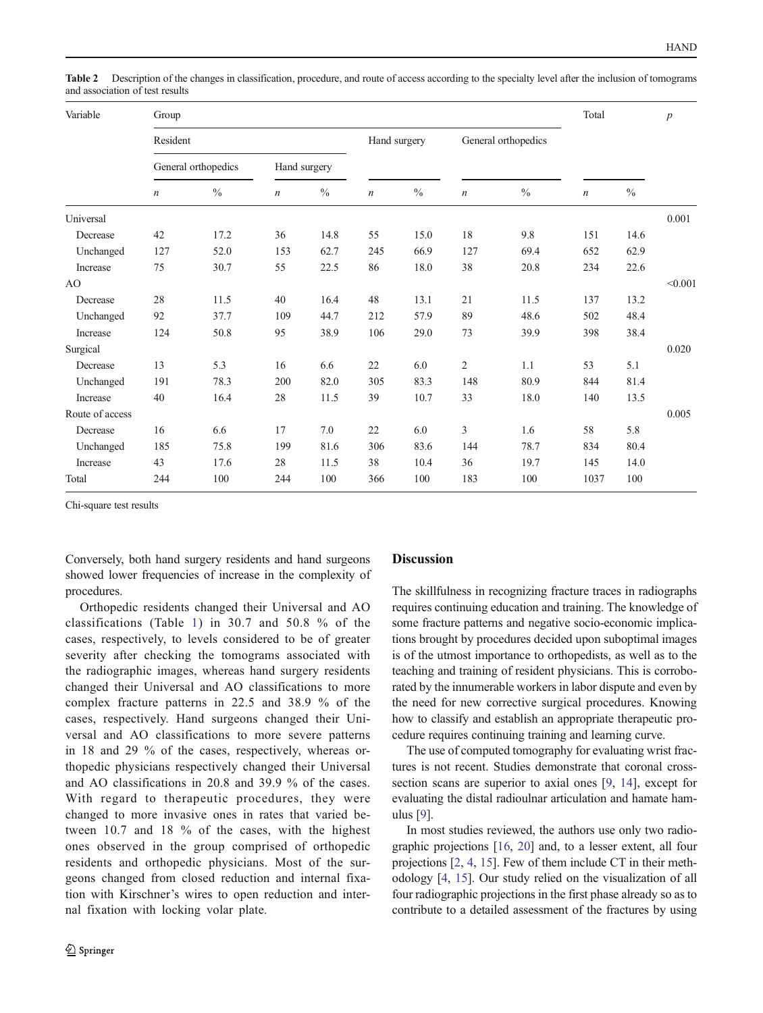| Variable        | Group               |               |                  |               |                  |               |                     |               | Total            |               | $\overline{p}$ |
|-----------------|---------------------|---------------|------------------|---------------|------------------|---------------|---------------------|---------------|------------------|---------------|----------------|
|                 | Resident            |               |                  |               | Hand surgery     |               | General orthopedics |               |                  |               |                |
|                 | General orthopedics |               | Hand surgery     |               |                  |               |                     |               |                  |               |                |
|                 | $\boldsymbol{n}$    | $\frac{0}{0}$ | $\boldsymbol{n}$ | $\frac{0}{0}$ | $\boldsymbol{n}$ | $\frac{0}{0}$ | $\boldsymbol{n}$    | $\frac{0}{0}$ | $\boldsymbol{n}$ | $\frac{0}{0}$ |                |
| Universal       |                     |               |                  |               |                  |               |                     |               |                  |               | 0.001          |
| Decrease        | 42                  | 17.2          | 36               | 14.8          | 55               | 15.0          | 18                  | 9.8           | 151              | 14.6          |                |
| Unchanged       | 127                 | 52.0          | 153              | 62.7          | 245              | 66.9          | 127                 | 69.4          | 652              | 62.9          |                |
| Increase        | 75                  | 30.7          | 55               | 22.5          | 86               | 18.0          | 38                  | 20.8          | 234              | 22.6          |                |
| AO              |                     |               |                  |               |                  |               |                     |               |                  |               | < 0.001        |
| Decrease        | 28                  | 11.5          | 40               | 16.4          | 48               | 13.1          | 21                  | 11.5          | 137              | 13.2          |                |
| Unchanged       | 92                  | 37.7          | 109              | 44.7          | 212              | 57.9          | 89                  | 48.6          | 502              | 48.4          |                |
| Increase        | 124                 | 50.8          | 95               | 38.9          | 106              | 29.0          | 73                  | 39.9          | 398              | 38.4          |                |
| Surgical        |                     |               |                  |               |                  |               |                     |               |                  |               | 0.020          |
| Decrease        | 13                  | 5.3           | 16               | 6.6           | 22               | 6.0           | 2                   | 1.1           | 53               | 5.1           |                |
| Unchanged       | 191                 | 78.3          | 200              | 82.0          | 305              | 83.3          | 148                 | 80.9          | 844              | 81.4          |                |
| Increase        | 40                  | 16.4          | 28               | 11.5          | 39               | 10.7          | 33                  | 18.0          | 140              | 13.5          |                |
| Route of access |                     |               |                  |               |                  |               |                     |               |                  |               | 0.005          |
| Decrease        | 16                  | 6.6           | 17               | 7.0           | 22               | 6.0           | 3                   | 1.6           | 58               | 5.8           |                |
| Unchanged       | 185                 | 75.8          | 199              | 81.6          | 306              | 83.6          | 144                 | 78.7          | 834              | 80.4          |                |
| Increase        | 43                  | 17.6          | 28               | 11.5          | 38               | 10.4          | 36                  | 19.7          | 145              | 14.0          |                |
| Total           | 244                 | 100           | 244              | 100           | 366              | 100           | 183                 | 100           | 1037             | 100           |                |

<span id="page-3-0"></span>Table 2 Description of the changes in classification, procedure, and route of access according to the specialty level after the inclusion of tomograms and association of test results

Chi-square test results

Conversely, both hand surgery residents and hand surgeons showed lower frequencies of increase in the complexity of procedures.

Orthopedic residents changed their Universal and AO classifications (Table [1\)](#page-2-0) in 30.7 and 50.8 % of the cases, respectively, to levels considered to be of greater severity after checking the tomograms associated with the radiographic images, whereas hand surgery residents changed their Universal and AO classifications to more complex fracture patterns in 22.5 and 38.9 % of the cases, respectively. Hand surgeons changed their Universal and AO classifications to more severe patterns in 18 and 29 % of the cases, respectively, whereas orthopedic physicians respectively changed their Universal and AO classifications in 20.8 and 39.9 % of the cases. With regard to therapeutic procedures, they were changed to more invasive ones in rates that varied between 10.7 and 18 % of the cases, with the highest ones observed in the group comprised of orthopedic residents and orthopedic physicians. Most of the surgeons changed from closed reduction and internal fixation with Kirschner's wires to open reduction and internal fixation with locking volar plate.

#### Discussion

The skillfulness in recognizing fracture traces in radiographs requires continuing education and training. The knowledge of some fracture patterns and negative socio-economic implications brought by procedures decided upon suboptimal images is of the utmost importance to orthopedists, as well as to the teaching and training of resident physicians. This is corroborated by the innumerable workers in labor dispute and even by the need for new corrective surgical procedures. Knowing how to classify and establish an appropriate therapeutic procedure requires continuing training and learning curve.

The use of computed tomography for evaluating wrist fractures is not recent. Studies demonstrate that coronal cross-section scans are superior to axial ones [\[9](#page-5-0), [14](#page-6-0)], except for evaluating the distal radioulnar articulation and hamate hamulus [\[9\]](#page-5-0).

In most studies reviewed, the authors use only two radiographic projections [\[16](#page-6-0), [20\]](#page-6-0) and, to a lesser extent, all four projections [[2,](#page-5-0) [4,](#page-5-0) [15\]](#page-6-0). Few of them include CT in their methodology [[4,](#page-5-0) [15](#page-6-0)]. Our study relied on the visualization of all four radiographic projections in the first phase already so as to contribute to a detailed assessment of the fractures by using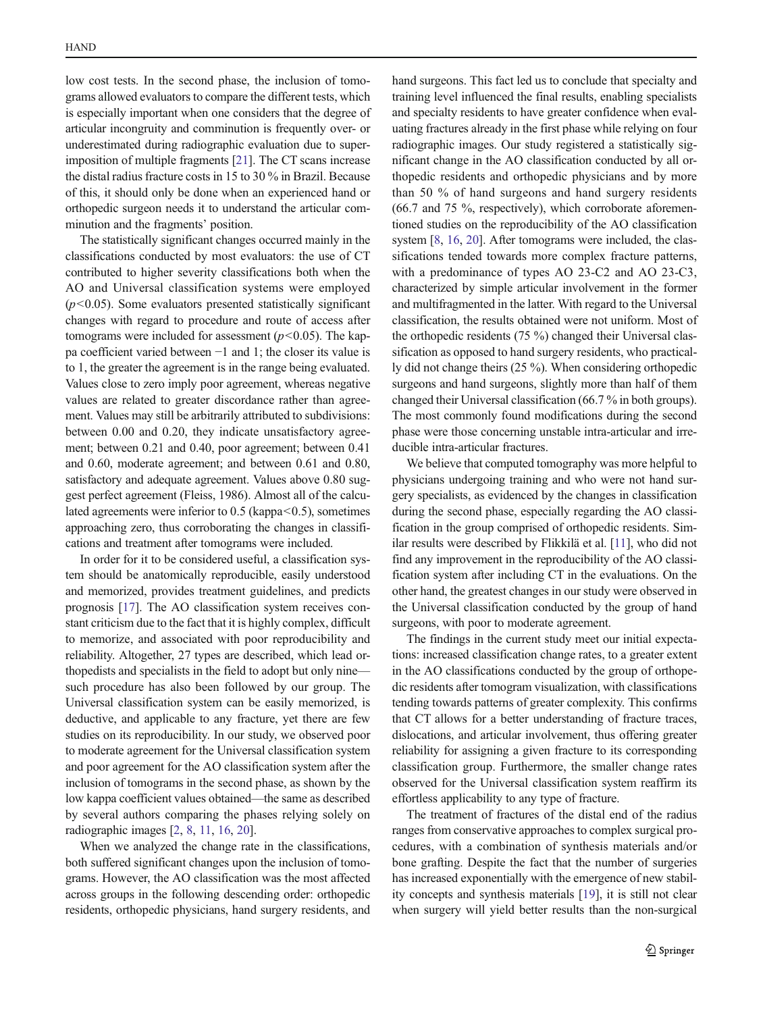low cost tests. In the second phase, the inclusion of tomograms allowed evaluators to compare the different tests, which is especially important when one considers that the degree of articular incongruity and comminution is frequently over- or underestimated during radiographic evaluation due to superimposition of multiple fragments [\[21](#page-6-0)]. The CT scans increase the distal radius fracture costs in 15 to 30 % in Brazil. Because of this, it should only be done when an experienced hand or orthopedic surgeon needs it to understand the articular comminution and the fragments' position.

The statistically significant changes occurred mainly in the classifications conducted by most evaluators: the use of CT contributed to higher severity classifications both when the AO and Universal classification systems were employed  $(p<0.05)$ . Some evaluators presented statistically significant changes with regard to procedure and route of access after tomograms were included for assessment ( $p$ <0.05). The kappa coefficient varied between −1 and 1; the closer its value is to 1, the greater the agreement is in the range being evaluated. Values close to zero imply poor agreement, whereas negative values are related to greater discordance rather than agreement. Values may still be arbitrarily attributed to subdivisions: between 0.00 and 0.20, they indicate unsatisfactory agreement; between 0.21 and 0.40, poor agreement; between 0.41 and 0.60, moderate agreement; and between 0.61 and 0.80, satisfactory and adequate agreement. Values above 0.80 suggest perfect agreement (Fleiss, 1986). Almost all of the calculated agreements were inferior to  $0.5$  (kappa $<0.5$ ), sometimes approaching zero, thus corroborating the changes in classifications and treatment after tomograms were included.

In order for it to be considered useful, a classification system should be anatomically reproducible, easily understood and memorized, provides treatment guidelines, and predicts prognosis [[17\]](#page-6-0). The AO classification system receives constant criticism due to the fact that it is highly complex, difficult to memorize, and associated with poor reproducibility and reliability. Altogether, 27 types are described, which lead orthopedists and specialists in the field to adopt but only nine such procedure has also been followed by our group. The Universal classification system can be easily memorized, is deductive, and applicable to any fracture, yet there are few studies on its reproducibility. In our study, we observed poor to moderate agreement for the Universal classification system and poor agreement for the AO classification system after the inclusion of tomograms in the second phase, as shown by the low kappa coefficient values obtained—the same as described by several authors comparing the phases relying solely on radiographic images [[2](#page-5-0), [8](#page-5-0), [11](#page-6-0), [16,](#page-6-0) [20\]](#page-6-0).

When we analyzed the change rate in the classifications, both suffered significant changes upon the inclusion of tomograms. However, the AO classification was the most affected across groups in the following descending order: orthopedic residents, orthopedic physicians, hand surgery residents, and hand surgeons. This fact led us to conclude that specialty and training level influenced the final results, enabling specialists and specialty residents to have greater confidence when evaluating fractures already in the first phase while relying on four radiographic images. Our study registered a statistically significant change in the AO classification conducted by all orthopedic residents and orthopedic physicians and by more than 50 % of hand surgeons and hand surgery residents (66.7 and 75 %, respectively), which corroborate aforementioned studies on the reproducibility of the AO classification system [[8,](#page-5-0) [16,](#page-6-0) [20\]](#page-6-0). After tomograms were included, the classifications tended towards more complex fracture patterns, with a predominance of types AO 23-C2 and AO 23-C3, characterized by simple articular involvement in the former and multifragmented in the latter. With regard to the Universal classification, the results obtained were not uniform. Most of the orthopedic residents (75 %) changed their Universal classification as opposed to hand surgery residents, who practically did not change theirs (25 %). When considering orthopedic surgeons and hand surgeons, slightly more than half of them changed their Universal classification (66.7 % in both groups). The most commonly found modifications during the second phase were those concerning unstable intra-articular and irreducible intra-articular fractures.

We believe that computed tomography was more helpful to physicians undergoing training and who were not hand surgery specialists, as evidenced by the changes in classification during the second phase, especially regarding the AO classification in the group comprised of orthopedic residents. Similar results were described by Flikkilä et al. [[11](#page-6-0)], who did not find any improvement in the reproducibility of the AO classification system after including CT in the evaluations. On the other hand, the greatest changes in our study were observed in the Universal classification conducted by the group of hand surgeons, with poor to moderate agreement.

The findings in the current study meet our initial expectations: increased classification change rates, to a greater extent in the AO classifications conducted by the group of orthopedic residents after tomogram visualization, with classifications tending towards patterns of greater complexity. This confirms that CT allows for a better understanding of fracture traces, dislocations, and articular involvement, thus offering greater reliability for assigning a given fracture to its corresponding classification group. Furthermore, the smaller change rates observed for the Universal classification system reaffirm its effortless applicability to any type of fracture.

The treatment of fractures of the distal end of the radius ranges from conservative approaches to complex surgical procedures, with a combination of synthesis materials and/or bone grafting. Despite the fact that the number of surgeries has increased exponentially with the emergence of new stability concepts and synthesis materials [\[19\]](#page-6-0), it is still not clear when surgery will yield better results than the non-surgical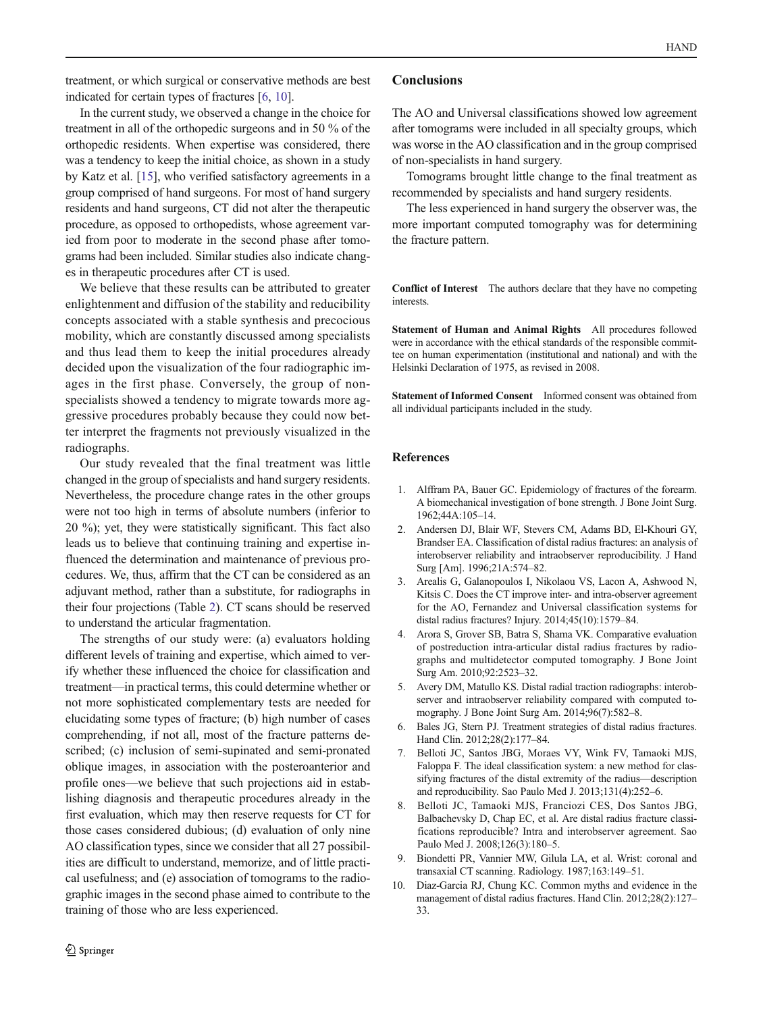<span id="page-5-0"></span>treatment, or which surgical or conservative methods are best indicated for certain types of fractures [6, 10].

In the current study, we observed a change in the choice for treatment in all of the orthopedic surgeons and in 50 % of the orthopedic residents. When expertise was considered, there was a tendency to keep the initial choice, as shown in a study by Katz et al. [[15\]](#page-6-0), who verified satisfactory agreements in a group comprised of hand surgeons. For most of hand surgery residents and hand surgeons, CT did not alter the therapeutic procedure, as opposed to orthopedists, whose agreement varied from poor to moderate in the second phase after tomograms had been included. Similar studies also indicate changes in therapeutic procedures after CT is used.

We believe that these results can be attributed to greater enlightenment and diffusion of the stability and reducibility concepts associated with a stable synthesis and precocious mobility, which are constantly discussed among specialists and thus lead them to keep the initial procedures already decided upon the visualization of the four radiographic images in the first phase. Conversely, the group of nonspecialists showed a tendency to migrate towards more aggressive procedures probably because they could now better interpret the fragments not previously visualized in the radiographs.

Our study revealed that the final treatment was little changed in the group of specialists and hand surgery residents. Nevertheless, the procedure change rates in the other groups were not too high in terms of absolute numbers (inferior to 20 %); yet, they were statistically significant. This fact also leads us to believe that continuing training and expertise influenced the determination and maintenance of previous procedures. We, thus, affirm that the CT can be considered as an adjuvant method, rather than a substitute, for radiographs in their four projections (Table [2](#page-3-0)). CT scans should be reserved to understand the articular fragmentation.

The strengths of our study were: (a) evaluators holding different levels of training and expertise, which aimed to verify whether these influenced the choice for classification and treatment—in practical terms, this could determine whether or not more sophisticated complementary tests are needed for elucidating some types of fracture; (b) high number of cases comprehending, if not all, most of the fracture patterns described; (c) inclusion of semi-supinated and semi-pronated oblique images, in association with the posteroanterior and profile ones—we believe that such projections aid in establishing diagnosis and therapeutic procedures already in the first evaluation, which may then reserve requests for CT for those cases considered dubious; (d) evaluation of only nine AO classification types, since we consider that all 27 possibilities are difficult to understand, memorize, and of little practical usefulness; and (e) association of tomograms to the radiographic images in the second phase aimed to contribute to the training of those who are less experienced.

### **Conclusions**

The AO and Universal classifications showed low agreement after tomograms were included in all specialty groups, which was worse in the AO classification and in the group comprised of non-specialists in hand surgery.

Tomograms brought little change to the final treatment as recommended by specialists and hand surgery residents.

The less experienced in hand surgery the observer was, the more important computed tomography was for determining the fracture pattern.

Conflict of Interest The authors declare that they have no competing interests.

Statement of Human and Animal Rights All procedures followed were in accordance with the ethical standards of the responsible committee on human experimentation (institutional and national) and with the Helsinki Declaration of 1975, as revised in 2008.

Statement of Informed Consent Informed consent was obtained from all individual participants included in the study.

#### References

- 1. Alffram PA, Bauer GC. Epidemiology of fractures of the forearm. A biomechanical investigation of bone strength. J Bone Joint Surg. 1962;44A:105–14.
- 2. Andersen DJ, Blair WF, Stevers CM, Adams BD, El-Khouri GY, Brandser EA. Classification of distal radius fractures: an analysis of interobserver reliability and intraobserver reproducibility. J Hand Surg [Am]. 1996;21A:574–82.
- 3. Arealis G, Galanopoulos I, Nikolaou VS, Lacon A, Ashwood N, Kitsis C. Does the CT improve inter- and intra-observer agreement for the AO, Fernandez and Universal classification systems for distal radius fractures? Injury. 2014;45(10):1579–84.
- 4. Arora S, Grover SB, Batra S, Shama VK. Comparative evaluation of postreduction intra-articular distal radius fractures by radiographs and multidetector computed tomography. J Bone Joint Surg Am. 2010;92:2523–32.
- 5. Avery DM, Matullo KS. Distal radial traction radiographs: interobserver and intraobserver reliability compared with computed tomography. J Bone Joint Surg Am. 2014;96(7):582–8.
- 6. Bales JG, Stern PJ. Treatment strategies of distal radius fractures. Hand Clin. 2012;28(2):177–84.
- 7. Belloti JC, Santos JBG, Moraes VY, Wink FV, Tamaoki MJS, Faloppa F. The ideal classification system: a new method for classifying fractures of the distal extremity of the radius—description and reproducibility. Sao Paulo Med J. 2013;131(4):252–6.
- 8. Belloti JC, Tamaoki MJS, Franciozi CES, Dos Santos JBG, Balbachevsky D, Chap EC, et al. Are distal radius fracture classifications reproducible? Intra and interobserver agreement. Sao Paulo Med J. 2008;126(3):180–5.
- 9. Biondetti PR, Vannier MW, Gilula LA, et al. Wrist: coronal and transaxial CT scanning. Radiology. 1987;163:149–51.
- 10. Diaz-Garcia RJ, Chung KC. Common myths and evidence in the management of distal radius fractures. Hand Clin. 2012;28(2):127– 33.